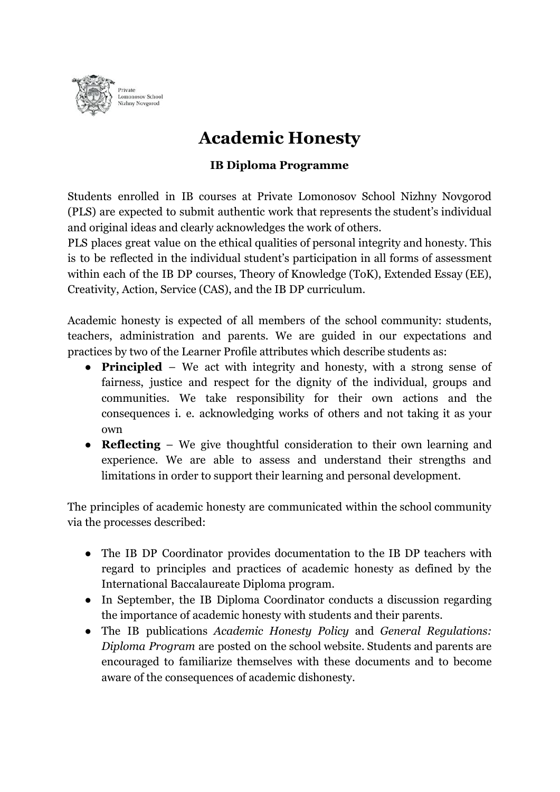

## **Academic Honesty**

## **IB Diploma Programme**

Students enrolled in IB courses at Private Lomonosov School Nizhny Novgorod (PLS) are expected to submit authentic work that represents the student's individual and original ideas and clearly acknowledges the work of others.

PLS places great value on the ethical qualities of personal integrity and honesty. This is to be reflected in the individual student's participation in all forms of assessment within each of the IB DP courses, Theory of Knowledge (ToK), Extended Essay (EE), Creativity, Action, Service (CAS), and the IB DP curriculum.

Academic honesty is expected of all members of the school community: students, teachers, administration and parents. We are guided in our expectations and practices by two of the Learner Profile attributes which describe students as:

- **Principled** We act with integrity and honesty, with a strong sense of fairness, justice and respect for the dignity of the individual, groups and communities. We take responsibility for their own actions and the consequences i. e. acknowledging works of others and not taking it as your own
- **Reflecting** We give thoughtful consideration to their own learning and experience. We are able to assess and understand their strengths and limitations in order to support their learning and personal development.

The principles of academic honesty are communicated within the school community via the processes described:

- The IB DP Coordinator provides documentation to the IB DP teachers with regard to principles and practices of academic honesty as defined by the International Baccalaureate Diploma program.
- In September, the IB Diploma Coordinator conducts a discussion regarding the importance of academic honesty with students and their parents.
- The IB publications *Academic Honesty Policy* and *General Regulations: Diploma Program* are posted on the school website. Students and parents are encouraged to familiarize themselves with these documents and to become aware of the consequences of academic dishonesty.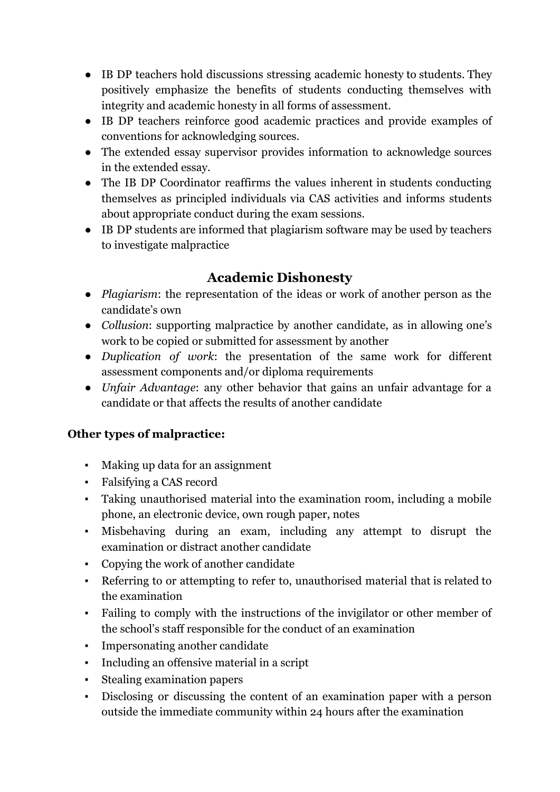- IB DP teachers hold discussions stressing academic honesty to students. They positively emphasize the benefits of students conducting themselves with integrity and academic honesty in all forms of assessment.
- IB DP teachers reinforce good academic practices and provide examples of conventions for acknowledging sources.
- The extended essay supervisor provides information to acknowledge sources in the extended essay.
- The IB DP Coordinator reaffirms the values inherent in students conducting themselves as principled individuals via CAS activities and informs students about appropriate conduct during the exam sessions.
- IB DP students are informed that plagiarism software may be used by teachers to investigate malpractice

## **Academic Dishonesty**

- *Plagiarism*: the representation of the ideas or work of another person as the candidate's own
- *Collusion*: supporting malpractice by another candidate, as in allowing one's work to be copied or submitted for assessment by another
- *Duplication of work*: the presentation of the same work for different assessment components and/or diploma requirements
- *Unfair Advantage*: any other behavior that gains an unfair advantage for a candidate or that affects the results of another candidate

## **Other types of malpractice:**

- Making up data for an assignment
- Falsifying a CAS record
- Taking unauthorised material into the examination room, including a mobile phone, an electronic device, own rough paper, notes
- Misbehaving during an exam, including any attempt to disrupt the examination or distract another candidate
- Copying the work of another candidate
- Referring to or attempting to refer to, unauthorised material that is related to the examination
- Failing to comply with the instructions of the invigilator or other member of the school's staff responsible for the conduct of an examination
- Impersonating another candidate
- Including an offensive material in a script
- Stealing examination papers
- Disclosing or discussing the content of an examination paper with a person outside the immediate community within 24 hours after the examination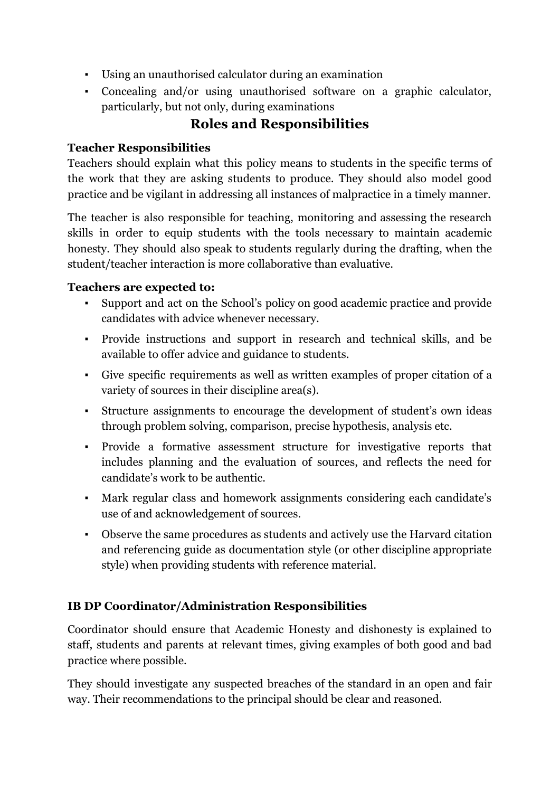- Using an unauthorised calculator during an examination
- Concealing and/or using unauthorised software on a graphic calculator, particularly, but not only, during examinations

## **Roles and Responsibilities**

## **Teacher Responsibilities**

Teachers should explain what this policy means to students in the specific terms of the work that they are asking students to produce. They should also model good practice and be vigilant in addressing all instances of malpractice in a timely manner.

The teacher is also responsible for teaching, monitoring and assessing the research skills in order to equip students with the tools necessary to maintain academic honesty. They should also speak to students regularly during the drafting, when the student/teacher interaction is more collaborative than evaluative.

#### **Teachers are expected to:**

- Support and act on the School's policy on good academic practice and provide candidates with advice whenever necessary.
- Provide instructions and support in research and technical skills, and be available to offer advice and guidance to students.
- Give specific requirements as well as written examples of proper citation of a variety of sources in their discipline area(s).
- Structure assignments to encourage the development of student's own ideas through problem solving, comparison, precise hypothesis, analysis etc.
- Provide a formative assessment structure for investigative reports that includes planning and the evaluation of sources, and reflects the need for candidate's work to be authentic.
- Mark regular class and homework assignments considering each candidate's use of and acknowledgement of sources.
- Observe the same procedures as students and actively use the Harvard citation and referencing guide as documentation style (or other discipline appropriate style) when providing students with reference material.

## **IB DP Coordinator/Administration Responsibilities**

Coordinator should ensure that Academic Honesty and dishonesty is explained to staff, students and parents at relevant times, giving examples of both good and bad practice where possible.

They should investigate any suspected breaches of the standard in an open and fair way. Their recommendations to the principal should be clear and reasoned.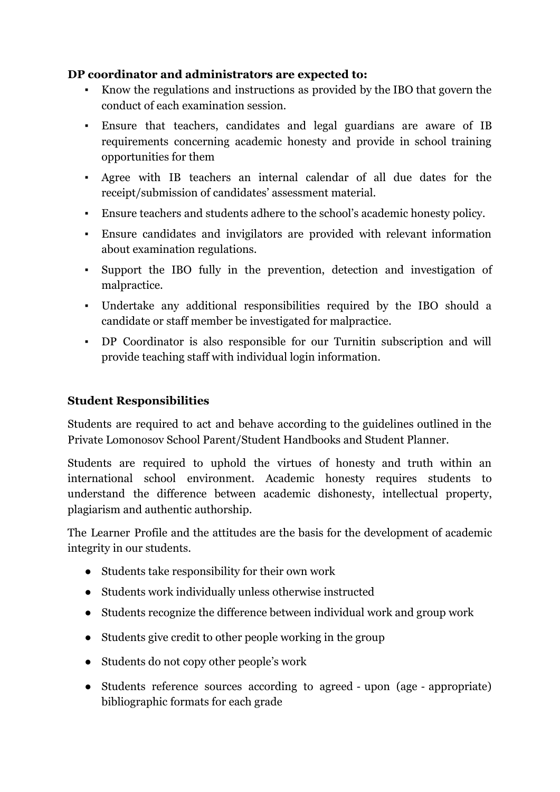#### **DP coordinator and administrators are expected to:**

- Know the regulations and instructions as provided by the IBO that govern the conduct of each examination session.
- Ensure that teachers, candidates and legal guardians are aware of IB requirements concerning academic honesty and provide in school training opportunities for them
- Agree with IB teachers an internal calendar of all due dates for the receipt/submission of candidates' assessment material.
- Ensure teachers and students adhere to the school's academic honesty policy.
- Ensure candidates and invigilators are provided with relevant information about examination regulations.
- Support the IBO fully in the prevention, detection and investigation of malpractice.
- Undertake any additional responsibilities required by the IBO should a candidate or staff member be investigated for malpractice.
- DP Coordinator is also responsible for our Turnitin subscription and will provide teaching staff with individual login information.

## **Student Responsibilities**

Students are required to act and behave according to the guidelines outlined in the Private Lomonosov School Parent/Student Handbooks and Student Planner.

Students are required to uphold the virtues of honesty and truth within an international school environment. Academic honesty requires students to understand the difference between academic dishonesty, intellectual property, plagiarism and authentic authorship.

The Learner Profile and the attitudes are the basis for the development of academic integrity in our students.

- Students take responsibility for their own work
- Students work individually unless otherwise instructed
- Students recognize the difference between individual work and group work
- Students give credit to other people working in the group
- Students do not copy other people's work
- Students reference sources according to agreed upon (age appropriate) bibliographic formats for each grade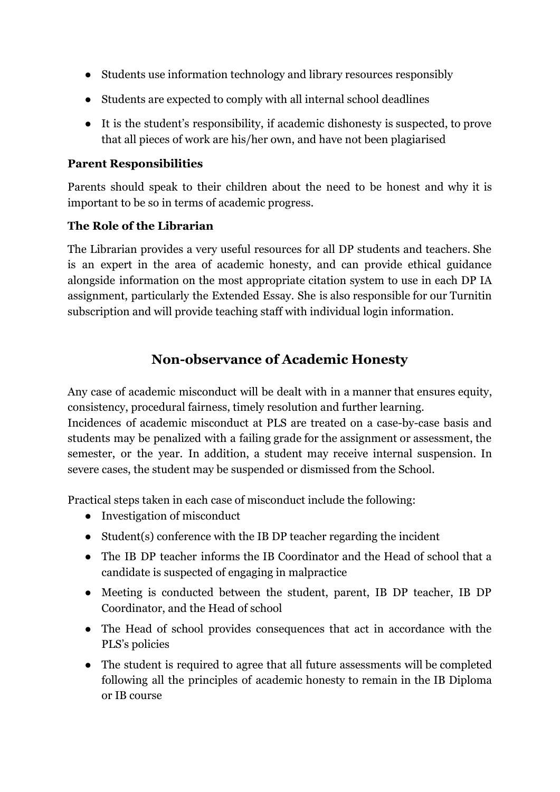- Students use information technology and library resources responsibly
- Students are expected to comply with all internal school deadlines
- It is the student's responsibility, if academic dishonesty is suspected, to prove that all pieces of work are his/her own, and have not been plagiarised

#### **Parent Responsibilities**

Parents should speak to their children about the need to be honest and why it is important to be so in terms of academic progress.

#### **The Role of the Librarian**

The Librarian provides a very useful resources for all DP students and teachers. She is an expert in the area of academic honesty, and can provide ethical guidance alongside information on the most appropriate citation system to use in each DP IA assignment, particularly the Extended Essay. She is also responsible for our Turnitin subscription and will provide teaching staff with individual login information.

## **Non-observance of Academic Honesty**

Any case of academic misconduct will be dealt with in a manner that ensures equity, consistency, procedural fairness, timely resolution and further learning.

Incidences of academic misconduct at PLS are treated on a case-by-case basis and students may be penalized with a failing grade for the assignment or assessment, the semester, or the year. In addition, a student may receive internal suspension. In severe cases, the student may be suspended or dismissed from the School.

Practical steps taken in each case of misconduct include the following:

- Investigation of misconduct
- Student(s) conference with the IB DP teacher regarding the incident
- The IB DP teacher informs the IB Coordinator and the Head of school that a candidate is suspected of engaging in malpractice
- Meeting is conducted between the student, parent, IB DP teacher, IB DP Coordinator, and the Head of school
- The Head of school provides consequences that act in accordance with the PLS's policies
- The student is required to agree that all future assessments will be completed following all the principles of academic honesty to remain in the IB Diploma or IB course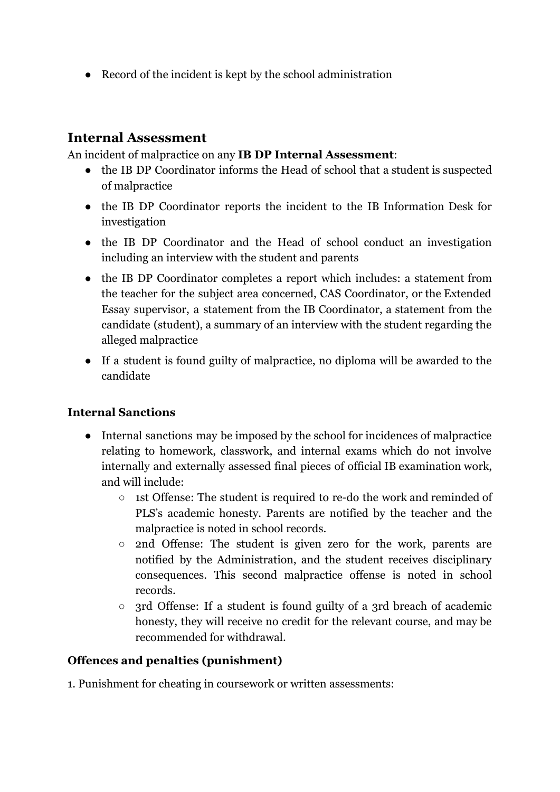● Record of the incident is kept by the school administration

## **Internal Assessment**

An incident of malpractice on any **IB DP Internal Assessment**:

- the IB DP Coordinator informs the Head of school that a student is suspected of malpractice
- the IB DP Coordinator reports the incident to the IB Information Desk for investigation
- the IB DP Coordinator and the Head of school conduct an investigation including an interview with the student and parents
- the IB DP Coordinator completes a report which includes: a statement from the teacher for the subject area concerned, CAS Coordinator, or the Extended Essay supervisor, a statement from the IB Coordinator, a statement from the candidate (student), a summary of an interview with the student regarding the alleged malpractice
- If a student is found guilty of malpractice, no diploma will be awarded to the candidate

## **Internal Sanctions**

- Internal sanctions may be imposed by the school for incidences of malpractice relating to homework, classwork, and internal exams which do not involve internally and externally assessed final pieces of official IB examination work, and will include:
	- 1st Offense: The student is required to re-do the work and reminded of PLS's academic honesty. Parents are notified by the teacher and the malpractice is noted in school records.
	- 2nd Offense: The student is given zero for the work, parents are notified by the Administration, and the student receives disciplinary consequences. This second malpractice offense is noted in school records.
	- 3rd Offense: If a student is found guilty of a 3rd breach of academic honesty, they will receive no credit for the relevant course, and may be recommended for withdrawal.

## **Offences and penalties (punishment)**

1. Punishment for cheating in coursework or written assessments: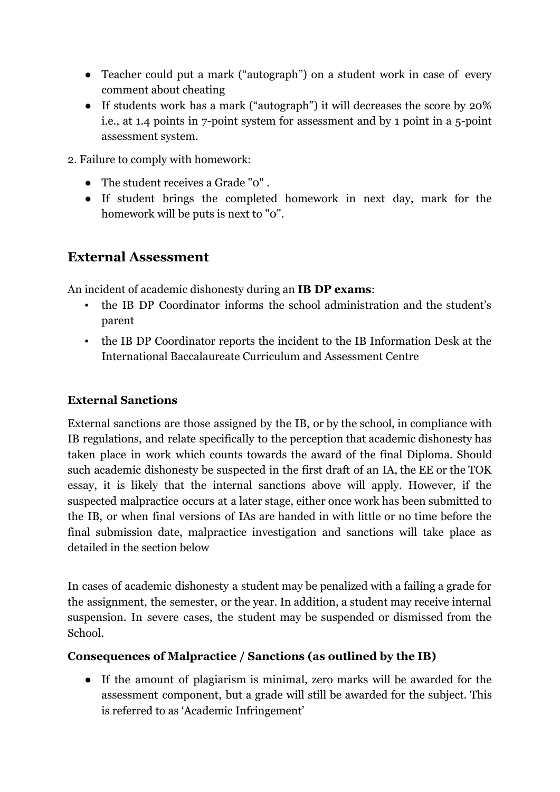- Teacher could put a mark ("autograph") on a student work in case of every comment about cheating
- If students work has a mark ("autograph") it will decreases the score by 20% i.e., at 1.4 points in 7-point system for assessment and by 1 point in a 5-point assessment system.
- 2. Failure to comply with homework:
	- The student receives a Grade "0" .
	- If student brings the completed homework in next day, mark for the homework will be puts is next to "0".

## **External Assessment**

An incident of academic dishonesty during an **IB DP exams**:

- the IB DP Coordinator informs the school administration and the student's parent
- the IB DP Coordinator reports the incident to the IB Information Desk at the International Baccalaureate Curriculum and Assessment Centre

#### **External Sanctions**

External sanctions are those assigned by the IB, or by the school, in compliance with IB regulations, and relate specifically to the perception that academic dishonesty has taken place in work which counts towards the award of the final Diploma. Should such academic dishonesty be suspected in the first draft of an IA, the EE or the TOK essay, it is likely that the internal sanctions above will apply. However, if the suspected malpractice occurs at a later stage, either once work has been submitted to the IB, or when final versions of IAs are handed in with little or no time before the final submission date, malpractice investigation and sanctions will take place as detailed in the section below

In cases of academic dishonesty a student may be penalized with a failing a grade for the assignment, the semester, or the year. In addition, a student may receive internal suspension. In severe cases, the student may be suspended or dismissed from the School.

#### **Consequences of Malpractice / Sanctions (as outlined by the IB)**

● If the amount of plagiarism is minimal, zero marks will be awarded for the assessment component, but a grade will still be awarded for the subject. This is referred to as 'Academic Infringement'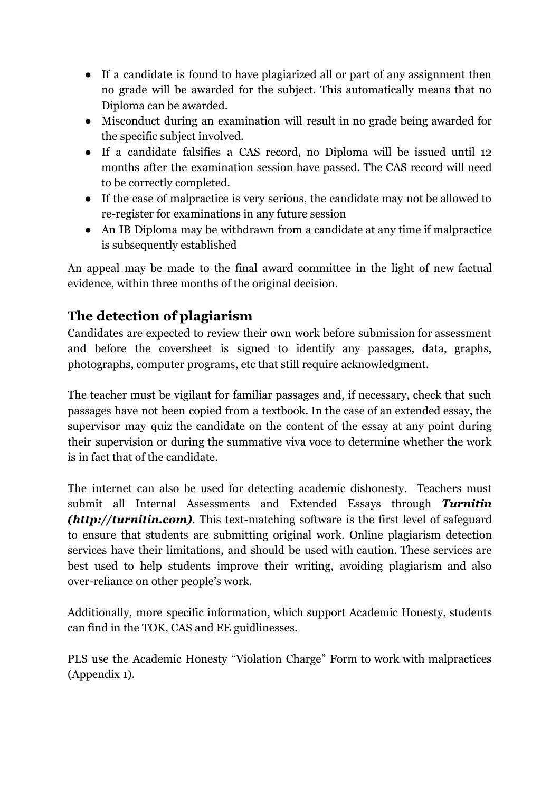- If a candidate is found to have plagiarized all or part of any assignment then no grade will be awarded for the subject. This automatically means that no Diploma can be awarded.
- Misconduct during an examination will result in no grade being awarded for the specific subject involved.
- If a candidate falsifies a CAS record, no Diploma will be issued until 12 months after the examination session have passed. The CAS record will need to be correctly completed.
- If the case of malpractice is very serious, the candidate may not be allowed to re-register for examinations in any future session
- An IB Diploma may be withdrawn from a candidate at any time if malpractice is subsequently established

An appeal may be made to the final award committee in the light of new factual evidence, within three months of the original decision.

## **The detection of plagiarism**

Candidates are expected to review their own work before submission for assessment and before the coversheet is signed to identify any passages, data, graphs, photographs, computer programs, etc that still require acknowledgment.

The teacher must be vigilant for familiar passages and, if necessary, check that such passages have not been copied from a textbook. In the case of an extended essay, the supervisor may quiz the candidate on the content of the essay at any point during their supervision or during the summative viva voce to determine whether the work is in fact that of the candidate.

The internet can also be used for detecting academic dishonesty. Teachers must submit all Internal Assessments and Extended Essays through *Turnitin (http://turnitin.com)*. This text-matching software is the first level of safeguard to ensure that students are submitting original work. Online plagiarism detection services have their limitations, and should be used with caution. These services are best used to help students improve their writing, avoiding plagiarism and also over-reliance on other people's work.

Additionally, more specific information, which support Academic Honesty, students can find in the TOK, CAS and EE guidlinesses.

PLS use the Academic Honesty "Violation Charge" Form to work with malpractices (Appendix 1).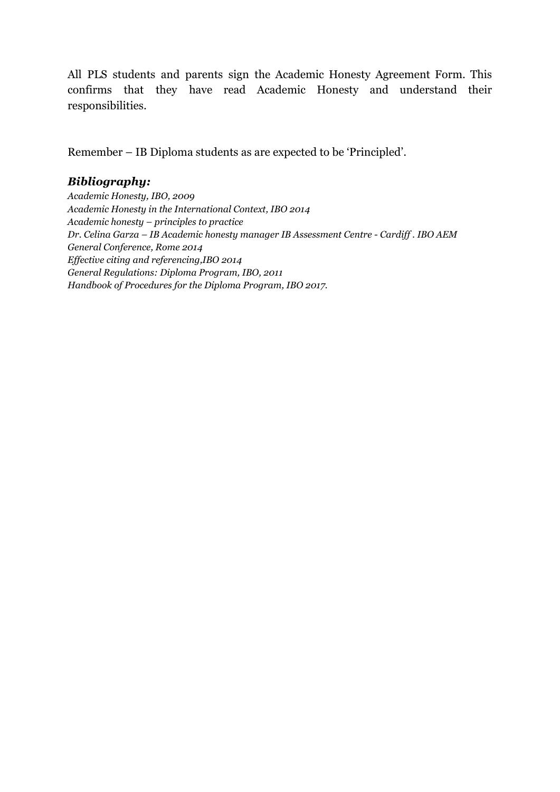All PLS students and parents sign the Academic Honesty Agreement Form. This confirms that they have read Academic Honesty and understand their responsibilities.

Remember – IB Diploma students as are expected to be 'Principled'.

## *Bibliography:*

*Academic Honesty, IBO, 2009 Academic Honesty in the International Context, IBO 2014 Academic honesty – principles to practice Dr. Celina Garza – IB Academic honesty manager IB Assessment Centre - Cardif . IBO AEM General Conference, Rome 2014 Ef ective citing and referencing,IBO 2014 General Regulations: Diploma Program, IBO, 2011 Handbook of Procedures for the Diploma Program, IBO 2017.*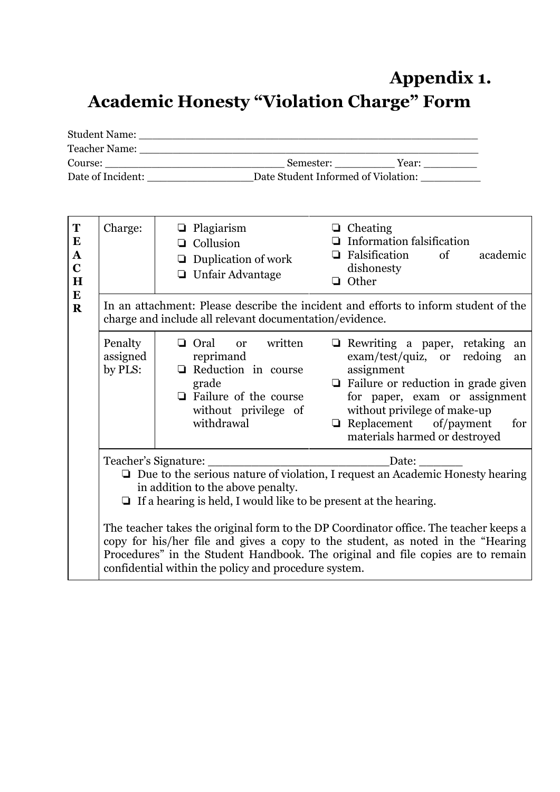# **Appendix 1. Academic Honesty "Violation Charge" Form**

| <b>Student Name:</b> |           |                                     |  |
|----------------------|-----------|-------------------------------------|--|
| <b>Teacher Name:</b> |           |                                     |  |
| Course:              | Semester: | Year:                               |  |
| Date of Incident:    |           | Date Student Informed of Violation: |  |

| T<br>$\bf{E}$<br>${\bf A}$<br>$\overline{C}$<br>$\mathbf H$<br>${\bf E}$ | Charge:                                                                                                                                                                                                                               | Plagiarism<br>$\Box$ Cheating<br>❏<br><b>Information falsification</b><br>Collusion<br>❏<br>Falsification<br>of<br>academic<br>❏<br>Duplication of work<br>$\Box$<br>dishonesty<br>$\Box$ Unfair Advantage<br><b>Q</b> Other                                                                                                                                                                                                                            |  |  |  |  |
|--------------------------------------------------------------------------|---------------------------------------------------------------------------------------------------------------------------------------------------------------------------------------------------------------------------------------|---------------------------------------------------------------------------------------------------------------------------------------------------------------------------------------------------------------------------------------------------------------------------------------------------------------------------------------------------------------------------------------------------------------------------------------------------------|--|--|--|--|
| $\mathbf R$                                                              |                                                                                                                                                                                                                                       | In an attachment: Please describe the incident and efforts to inform student of the<br>charge and include all relevant documentation/evidence.                                                                                                                                                                                                                                                                                                          |  |  |  |  |
|                                                                          | Penalty<br>assigned<br>by PLS:                                                                                                                                                                                                        | written<br><b>□</b> Oral<br>Rewriting a paper, retaking<br>$\Box$<br><b>or</b><br>an<br>exam/test/quiz, or<br>redoing<br>reprimand<br>an<br>Reduction in course<br>assignment<br>$\Box$ Failure or reduction in grade given<br>grade<br>$\Box$ Failure of the course<br>for paper, exam or assignment<br>without privilege of make-up<br>without privilege of<br>withdrawal<br>Replacement of/payment<br>$\Box$<br>for<br>materials harmed or destroyed |  |  |  |  |
|                                                                          | Teacher's Signature:<br>Date:<br>$\Box$ Due to the serious nature of violation, I request an Academic Honesty hearing<br>in addition to the above penalty.<br>$\Box$ If a hearing is held, I would like to be present at the hearing. |                                                                                                                                                                                                                                                                                                                                                                                                                                                         |  |  |  |  |
|                                                                          |                                                                                                                                                                                                                                       |                                                                                                                                                                                                                                                                                                                                                                                                                                                         |  |  |  |  |
|                                                                          |                                                                                                                                                                                                                                       | The teacher takes the original form to the DP Coordinator office. The teacher keeps a<br>copy for his/her file and gives a copy to the student, as noted in the "Hearing"<br>Procedures" in the Student Handbook. The original and file copies are to remain<br>confidential within the policy and procedure system.                                                                                                                                    |  |  |  |  |